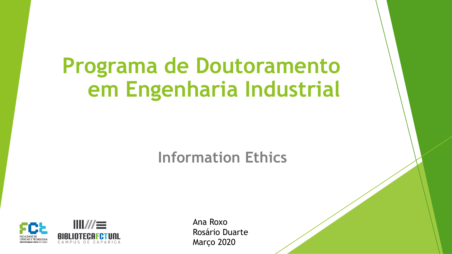# **Programa de Doutoramento em Engenharia Industrial**

### **Information Ethics**



Ana Roxo Rosário Duarte Março 2020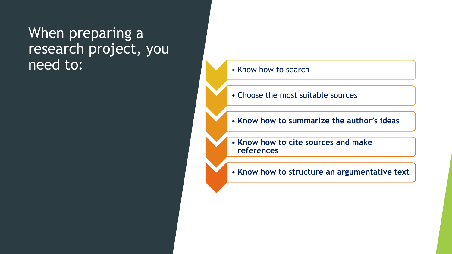### When preparing a research project, you need to: **• Know how to search**

- 
- Choose the most suitable sources
- **Know how to summarize the author's ideas**
- **Know how to cite sources and make references**
- **Know how to structure an argumentative text**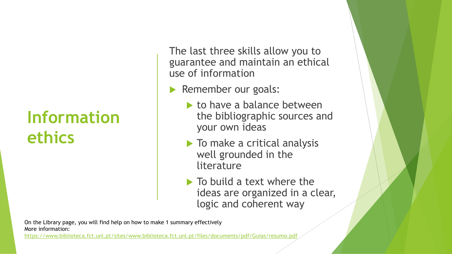### **Information ethics**

The last three skills allow you to guarantee and maintain an ethical use of information

- Remember our goals:
	- $\blacktriangleright$  to have a balance between the bibliographic sources and your own ideas
	- $\blacktriangleright$  To make a critical analysis well grounded in the literature
	- $\blacktriangleright$  To build a text where the ideas are organized in a clear, logic and coherent way

On the Library page, you will find help on how to make 1 summary effectively More information:

<https://www.biblioteca.fct.unl.pt/sites/www.biblioteca.fct.unl.pt/files/documents/pdf/Guias/resumo.pdf>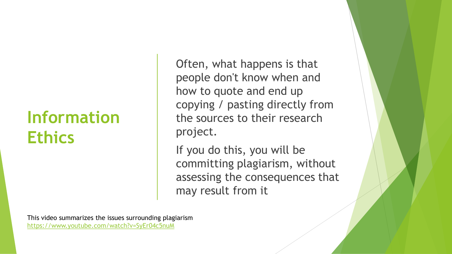### **Information Ethics**

Often, what happens is that people don't know when and how to quote and end up copying / pasting directly from the sources to their research project.

If you do this, you will be committing plagiarism, without assessing the consequences that may result from it

This video summarizes the issues surrounding plagiarism <https://www.youtube.com/watch?v=SyEr04c5nuM>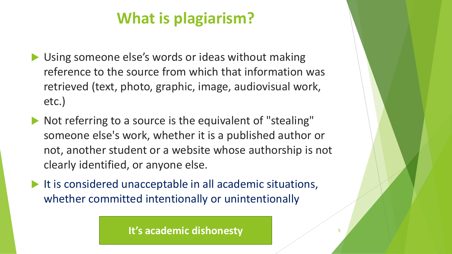### **What is plagiarism?**

- ▶ Using someone else's words or ideas without making reference to the source from which that information was retrieved (text, photo, graphic, image, audiovisual work, etc.)
- $\blacktriangleright$  Not referring to a source is the equivalent of "stealing" someone else's work, whether it is a published author or not, another student or a website whose authorship is not clearly identified, or anyone else.
- $\blacktriangleright$  It is considered unacceptable in all academic situations, whether committed intentionally or unintentionally

**It's academic dishonesty**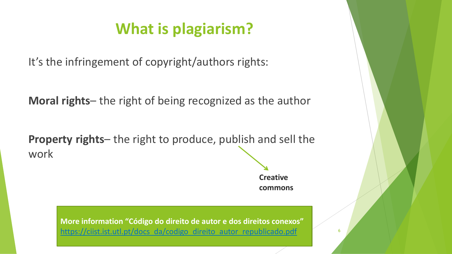### **What is plagiarism?**

It's the infringement of copyright/authors rights:

**Moral rights**– the right of being recognized as the author

**Property rights**– the right to produce, publish and sell the work

> **Creative commons**

> > 6

**More information "Código do direito de autor e dos direitos conexos"**  [https://ciist.ist.utl.pt/docs\\_da/codigo\\_direito\\_autor\\_republicado.pdf](https://ciist.ist.utl.pt/docs_da/codigo_direito_autor_republicado.pdf)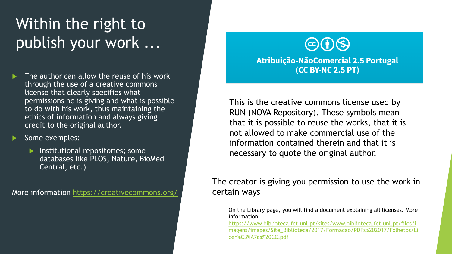### Within the right to publish your work ...

- The author can allow the reuse of his work through the use of a creative commons license that clearly specifies what permissions he is giving and what is possible to do with his work, thus maintaining the ethics of information and always giving credit to the original author.
- Some exemples:
	- $\blacktriangleright$  Institutional repositories; some databases like PLOS, Nature, BioMed Central, etc.)

More information <https://creativecommons.org/>



Atribuição-NãoComercial 2.5 Portugal (CC BY-NC 2.5 PT)

This is the creative commons license used by RUN (NOVA Repository). These symbols mean that it is possible to reuse the works, that it is not allowed to make commercial use of the information contained therein and that it is necessary to quote the original author.

#### The creator is giving you permission to use the work in certain ways

On the Library page, you will find a document explaining all licenses. More information

https://www.biblioteca.fct.unl.pt/sites/www.biblioteca.fct.unl.pt/files/i [magens/images/Site\\_Biblioteca/2017/Formacao/PDFs%202017/Folhetos/Li](https://www.biblioteca.fct.unl.pt/sites/www.biblioteca.fct.unl.pt/files/imagens/images/Site_Biblioteca/2017/Formacao/PDFs%202017/Folhetos/Licen%C3%A7as%20CC.pdf) cen%C3%A7as%20CC.pdf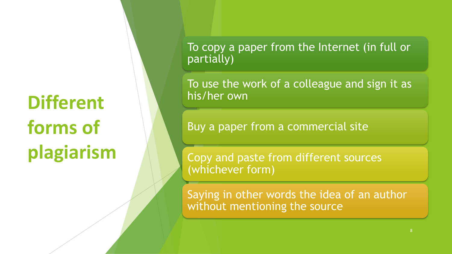# **Different forms of plagiarism**

To copy a paper from the Internet (in full or partially)

To use the work of a colleague and sign it as his/her own

Buy a paper from a commercial site

Copy and paste from different sources (whichever form)

Saying in other words the idea of an author without mentioning the source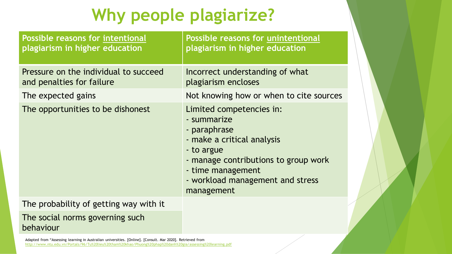# **Why people plagiarize?**

| <b>Possible reasons for intentional</b><br>plagiarism in higher education | <b>Possible reasons for unintentional</b><br>plagiarism in higher education                                                                                                                                        |
|---------------------------------------------------------------------------|--------------------------------------------------------------------------------------------------------------------------------------------------------------------------------------------------------------------|
| Pressure on the individual to succeed<br>and penalties for failure        | Incorrect understanding of what<br>plagiarism encloses                                                                                                                                                             |
| The expected gains                                                        | Not knowing how or when to cite sources                                                                                                                                                                            |
| The opportunities to be dishonest                                         | Limited competencies in:<br>- summarize<br>- paraphrase<br>- make a critical analysis<br>- to argue<br>- manage contributions to group work<br>- time management<br>- workload management and stress<br>management |
| The probability of getting way with it                                    |                                                                                                                                                                                                                    |
| The social norms governing such<br>behaviour                              |                                                                                                                                                                                                                    |

Adapted from "Assessing learning in Australian universities. [Online]. [Consult. Mar 2020]. Retrieved from <http://www.ntu.edu.vn/Portals/96/Tu%20lieu%20tham%20khao/Phuong%20phap%20danh%20gia/assessing%20learning.pdf>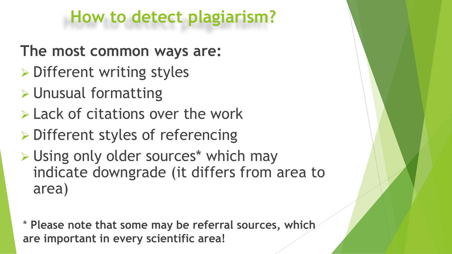### **How to detect plagiarism?**

- **The most common ways are:**
- ➢ Different writing styles
- ➢ Unusual formatting
- ➢ Lack of citations over the work
- ➢ Different styles of referencing
- ➢ Using only older sources\* which may indicate downgrade (it differs from area to area)

\* **Please note that some may be referral sources, which are important in every scientific area!**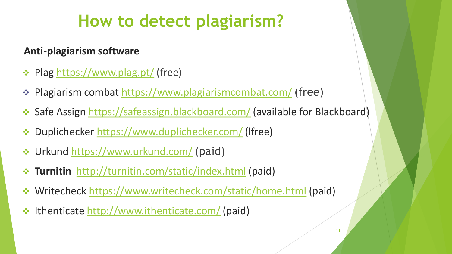# **How to detect plagiarism?**

### **Anti-plagiarism software**

- ❖ Plag <https://www.plag.pt/> (free)
- ❖ Plagiarism combat <https://www.plagiarismcombat.com/>(free)
- ❖ Safe Assign <https://safeassign.blackboard.com/> (available for Blackboard)
- ❖ Duplichecker <https://www.duplichecker.com/> (lfree)
- ❖ Urkund <https://www.urkund.com/> (paid)
- ❖ **Turnitin** <http://turnitin.com/static/index.html> (paid)
- ❖ Writecheck <https://www.writecheck.com/static/home.html> (paid)
- ❖ Ithenticate <http://www.ithenticate.com/> (paid)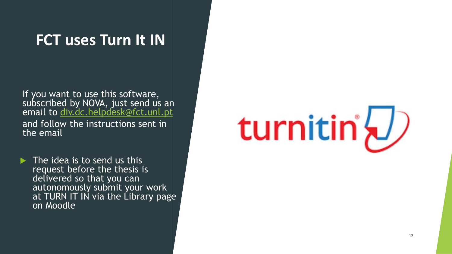### **FCT uses Turn It IN**

If you want to use this software, subscribed by NOVA, just send us an email to [div.dc.helpdesk@fct.unl.pt](mailto:div.dc.helpdesk@fct.unl.pt) and follow the instructions sent in the email

 $\triangleright$  The idea is to send us this request before the thesis is delivered so that you can autonomously submit your work at TURN IT IN via the Library page on Moodle

# turnitin'\/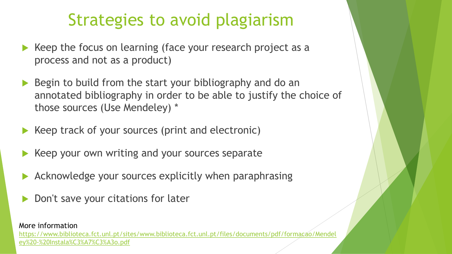### Strategies to avoid plagiarism

- Keep the focus on learning (face your research project as a process and not as a product)
- Begin to build from the start your bibliography and do an annotated bibliography in order to be able to justify the choice of those sources (Use Mendeley) \*
- Keep track of your sources (print and electronic)
- Keep your own writing and your sources separate
- Acknowledge your sources explicitly when paraphrasing
- Don't save your citations for later

#### More information

[https://www.biblioteca.fct.unl.pt/sites/www.biblioteca.fct.unl.pt/files/documents/pdf/formacao/Mendel](https://www.biblioteca.fct.unl.pt/sites/www.biblioteca.fct.unl.pt/files/documents/pdf/formacao/Mendeley%20-%20Instala%C3%A7%C3%A3o.pdf) ey%20-%20Instala%C3%A7%C3%A3o.pdf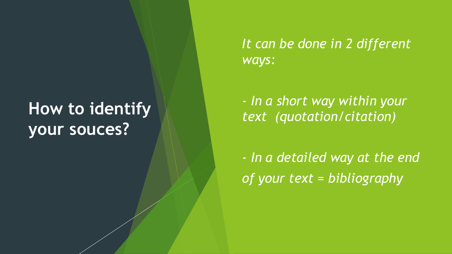### **How to identify your souces?**

 *It can be done in 2 different ways:*

 *- In a short way within your text (quotation/citation)*

 *- In a detailed way at the end of your text = bibliography*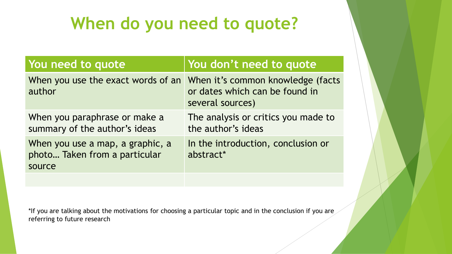### **When do you need to quote?**

| You don't need to quote                                             |
|---------------------------------------------------------------------|
| When it's common knowledge (facts<br>or dates which can be found in |
| The analysis or critics you made to                                 |
| In the introduction, conclusion or                                  |
|                                                                     |

\*If you are talking about the motivations for choosing a particular topic and in the conclusion if you are referring to future research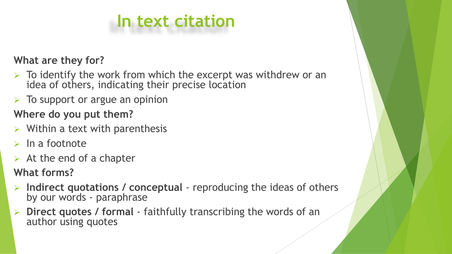# **In text citation**

### **What are they for?**

- $\triangleright$  To identify the work from which the excerpt was withdrew or an idea of others, indicating their precise location
- $\triangleright$  To support or argue an opinion

### **Where do you put them?**

- $\triangleright$  Within a text with parenthesis
- $\triangleright$  In a footnote
- $\triangleright$  At the end of a chapter
- **What forms?**
- ➢ **Indirect quotations / conceptual**  reproducing the ideas of others by our words - paraphrase
- ➢ **Direct quotes / formal**  faithfully transcribing the words of an author using quotes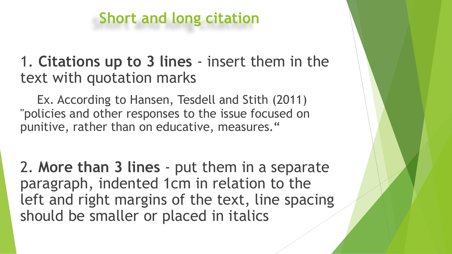### **Short and long citation**

1. **Citations up to 3 lines** - insert them in the text with quotation marks

Ex. According to Hansen, Tesdell and Stith (2011) "policies and other responses to the issue focused on punitive, rather than on educative, measures."

2. **More than 3 lines** - put them in a separate paragraph, indented 1cm in relation to the left and right margins of the text, line spacing should be smaller or placed in italics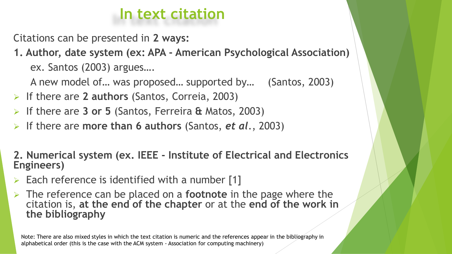### **In text citation**

Citations can be presented in **2 ways:**

**1. Author, date system (ex: APA - American Psychological Association)** ex. Santos (2003) argues….

A new model of… was proposed… supported by… (Santos, 2003)

- ➢ If there are **2 authors** (Santos, Correia, 2003)
- ➢ If there are **3 or 5** (Santos, Ferreira **&** Matos, 2003)
- ➢ If there are **more than 6 authors** (Santos, *et al*., 2003)

**2. Numerical system (ex. IEEE - Institute of Electrical and Electronics Engineers)**

- $\triangleright$  Each reference is identified with a number [1]
- ➢ The reference can be placed on a **footnote** in the page where the citation is, **at the end of the chapter** or at the **end of the work in the bibliography**

Note: There are also mixed styles in which the text citation is numeric and the references appear in the bibliography in alphabetical order (this is the case with the ACM system - Association for computing machinery)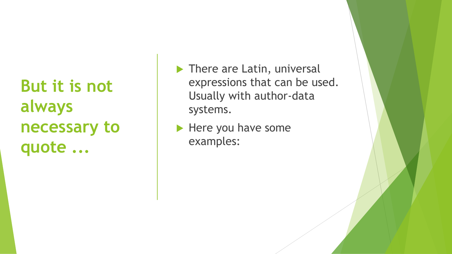**But it is not always necessary to quote ...**

- There are Latin, universal expressions that can be used. Usually with author-data systems.
- $\blacktriangleright$  Here you have some examples: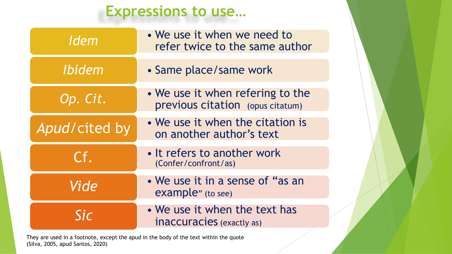### **Expressions to use…**

| <b>Idem</b>   | • We use it when we need to<br>refer twice to the same author        |
|---------------|----------------------------------------------------------------------|
| <b>Ibidem</b> | • Same place/same work                                               |
| Op. Cit.      | • We use it when refering to the<br>previous citation (opus citatum) |
| Apud/cited by | • We use it when the citation is<br>on another author's text         |
| Cf.           | • It refers to another work<br>(Confer/confront/as)                  |
| Vide          | • We use it in a sense of "as an<br>example" (to see)                |
| <b>Sic</b>    | • We use it when the text has<br>inaccuracies (exactly as)           |

They are used in a footnote, except the apud in the body of the text within the quote (Silva, 2005, apud Santos, 2020)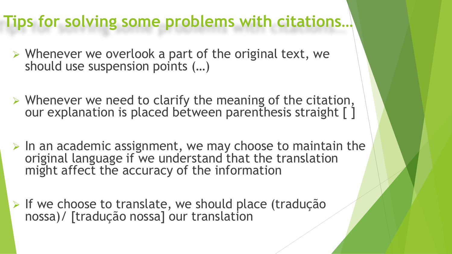### **Tips for solving some problems with citations…**

- ➢ Whenever we overlook a part of the original text, we should use suspension points (…)
- ➢ Whenever we need to clarify the meaning of the citation, our explanation is placed between parenthesis straight [1]
- $\triangleright$  In an academic assignment, we may choose to maintain the original language if we understand that the translation might affect the accuracy of the information
- ➢ If we choose to translate, we should place (tradução nossa)/ [tradução nossa] our translation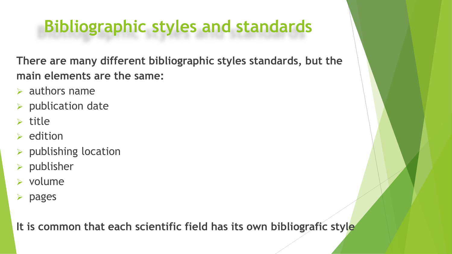### **Bibliographic styles and standards**

**There are many different bibliographic styles standards, but the main elements are the same:** 

- $\triangleright$  authors name
- ➢ publication date
- $\triangleright$  title
- $\triangleright$  edition
- ➢ publishing location
- ➢ publisher
- ➢ volume
- ➢ pages

**It is common that each scientific field has its own bibliografic style**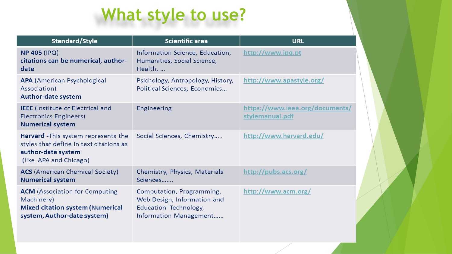# **What style to use?**

| <b>Standard/Style</b>                                                                                                                  | <b>Scientific area</b>                                                                                      | <b>URL</b>                                        |
|----------------------------------------------------------------------------------------------------------------------------------------|-------------------------------------------------------------------------------------------------------------|---------------------------------------------------|
| <b>NP 405 (IPQ)</b><br>citations can be numerical, author-<br>date                                                                     | Information Science, Education,<br>Humanities, Social Science,<br>Health,                                   | http://www.ipq.pt                                 |
| <b>APA</b> (American Psychological<br>Association)<br>Author-date system                                                               | Psichology, Antropology, History,<br>Political Sciences, Economics                                          | http://www.apastyle.org/                          |
| <b>IEEE</b> (Institute of Electrical and<br>Electronics Engineers)<br><b>Numerical system</b>                                          | Engineering                                                                                                 | https://www.ieee.org/documents<br>stylemanual.pdf |
| <b>Harvard</b> - This system represents the<br>styles that define in text citations as<br>author-date system<br>(like APA and Chicago) | Social Sciences, Chemistry                                                                                  | http://www.harvard.edu/                           |
| <b>ACS</b> (American Chemical Society)<br><b>Numerical system</b>                                                                      | Chemistry, Physics, Materials<br>Sciences                                                                   | http://pubs.acs.org/                              |
| <b>ACM</b> (Association for Computing<br>Machinery)<br><b>Mixed citation system (Numerical</b><br>system, Author-date system)          | Computation, Programming,<br>Web Design, Information and<br>Education Technology,<br>Information Management | http://www.acm.org/                               |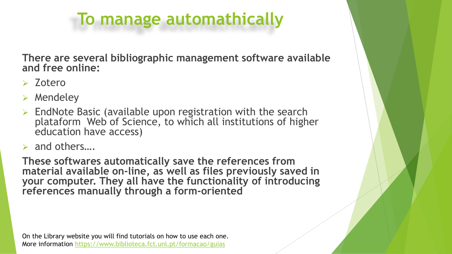### **To manage automathically**

**There are several bibliographic management software available and free online:**

- ➢ Zotero
- **Mendeley**
- ➢ EndNote Basic (available upon registration with the search plataform Web of Science, to which all institutions of higher education have access)
- ➢ and others….

**These softwares automatically save the references from material available on-line, as well as files previously saved in your computer. They all have the functionality of introducing references manually through a form-oriented**

On the Library website you will find tutorials on how to use each one. More information<https://www.biblioteca.fct.unl.pt/formacao/guias>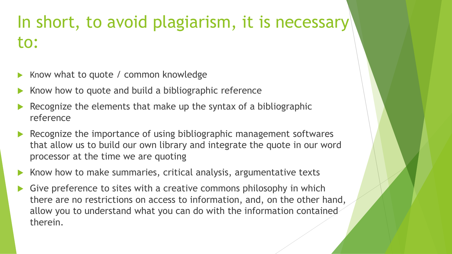### In short, to avoid plagiarism, it is necessary to:

- Know what to quote / common knowledge
- Know how to quote and build a bibliographic reference
- Recognize the elements that make up the syntax of a bibliographic reference
- Recognize the importance of using bibliographic management softwares that allow us to build our own library and integrate the quote in our word processor at the time we are quoting
- Know how to make summaries, critical analysis, argumentative texts
- Give preference to sites with a creative commons philosophy in which there are no restrictions on access to information, and, on the other hand, allow you to understand what you can do with the information contained therein.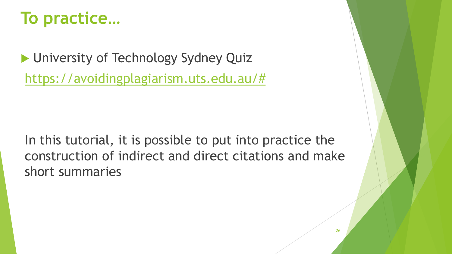### **To practice…**

**I** University of Technology Sydney Quiz [https://avoidingplagiarism.uts.edu.au/#](https://avoidingplagiarism.uts.edu.au/)

In this tutorial, it is possible to put into practice the construction of indirect and direct citations and make short summaries